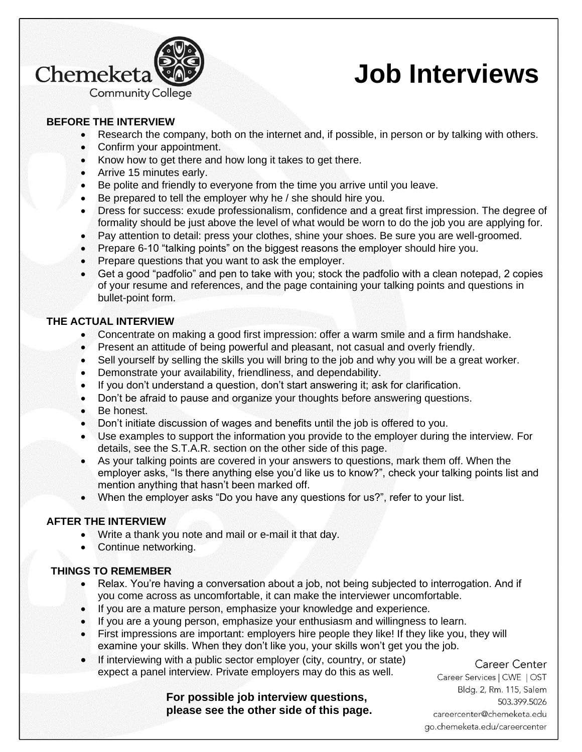

# **Job Interviews**

## **BEFORE THE INTERVIEW**

- Research the company, both on the internet and, if possible, in person or by talking with others.
- Confirm your appointment.
- Know how to get there and how long it takes to get there.
- Arrive 15 minutes early.
- Be polite and friendly to everyone from the time you arrive until you leave.
- Be prepared to tell the employer why he / she should hire you.
- Dress for success: exude professionalism, confidence and a great first impression. The degree of formality should be just above the level of what would be worn to do the job you are applying for.
- Pay attention to detail: press your clothes, shine your shoes. Be sure you are well-groomed.
- Prepare 6-10 "talking points" on the biggest reasons the employer should hire you.
- Prepare questions that you want to ask the employer.
- Get a good "padfolio" and pen to take with you; stock the padfolio with a clean notepad, 2 copies of your resume and references, and the page containing your talking points and questions in bullet-point form.

### **THE ACTUAL INTERVIEW**

- Concentrate on making a good first impression: offer a warm smile and a firm handshake.
- Present an attitude of being powerful and pleasant, not casual and overly friendly.
- Sell yourself by selling the skills you will bring to the job and why you will be a great worker.
- Demonstrate your availability, friendliness, and dependability.
- If you don't understand a question, don't start answering it; ask for clarification.
- Don't be afraid to pause and organize your thoughts before answering questions.
- Be honest.
- Don't initiate discussion of wages and benefits until the job is offered to you.
- Use examples to support the information you provide to the employer during the interview. For details, see the S.T.A.R. section on the other side of this page.
- As your talking points are covered in your answers to questions, mark them off. When the employer asks, "Is there anything else you'd like us to know?", check your talking points list and mention anything that hasn't been marked off.
- When the employer asks "Do you have any questions for us?", refer to your list.

### **AFTER THE INTERVIEW**

- Write a thank you note and mail or e-mail it that day.
- Continue networking.

### **THINGS TO REMEMBER**

- Relax. You're having a conversation about a job, not being subjected to interrogation. And if you come across as uncomfortable, it can make the interviewer uncomfortable.
- If you are a mature person, emphasize your knowledge and experience.
- If you are a young person, emphasize your enthusiasm and willingness to learn.
- First impressions are important: employers hire people they like! If they like you, they will examine your skills. When they don't like you, your skills won't get you the job.
- If interviewing with a public sector employer (city, country, or state) expect a panel interview. Private employers may do this as well.

Career Center

**For possible job interview questions, please see the other side of this page.**

Career Services | CWE | OST Bldg. 2, Rm. 115, Salem 503.399.5026 careercenter@chemeketa.edu go.chemeketa.edu/careercenter